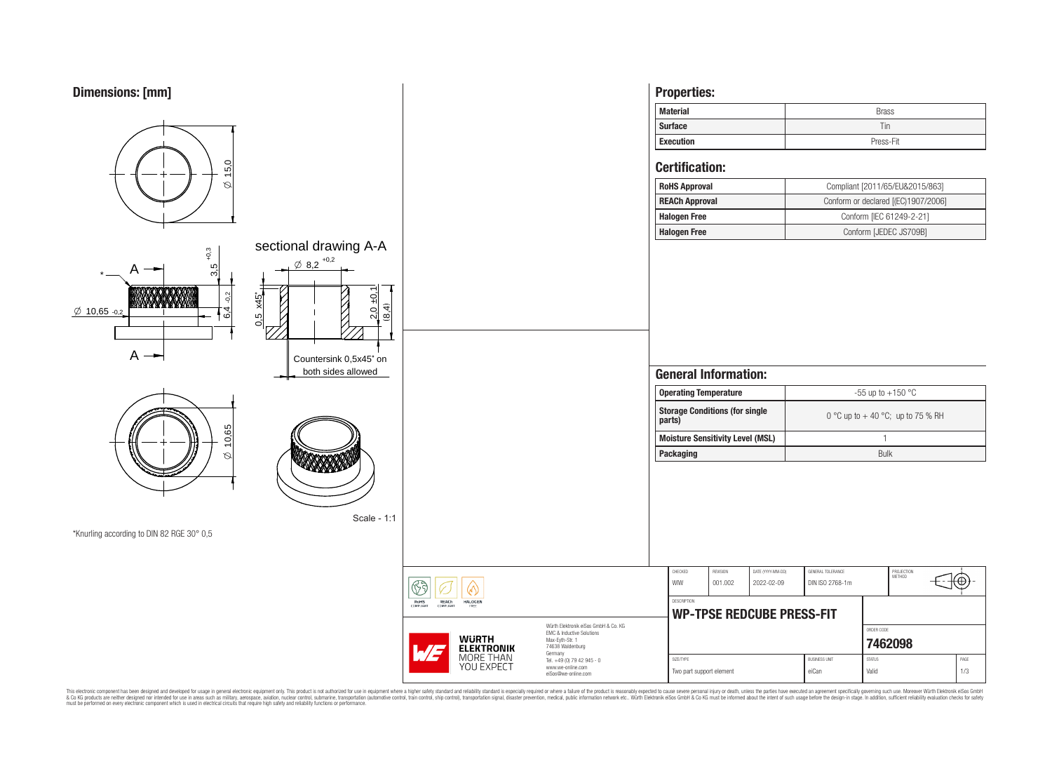

This electronic component has been designed and developed for usage in general electronic equipment only. This product is not authorized for subserved requipment where a higher selection equipment where a higher selection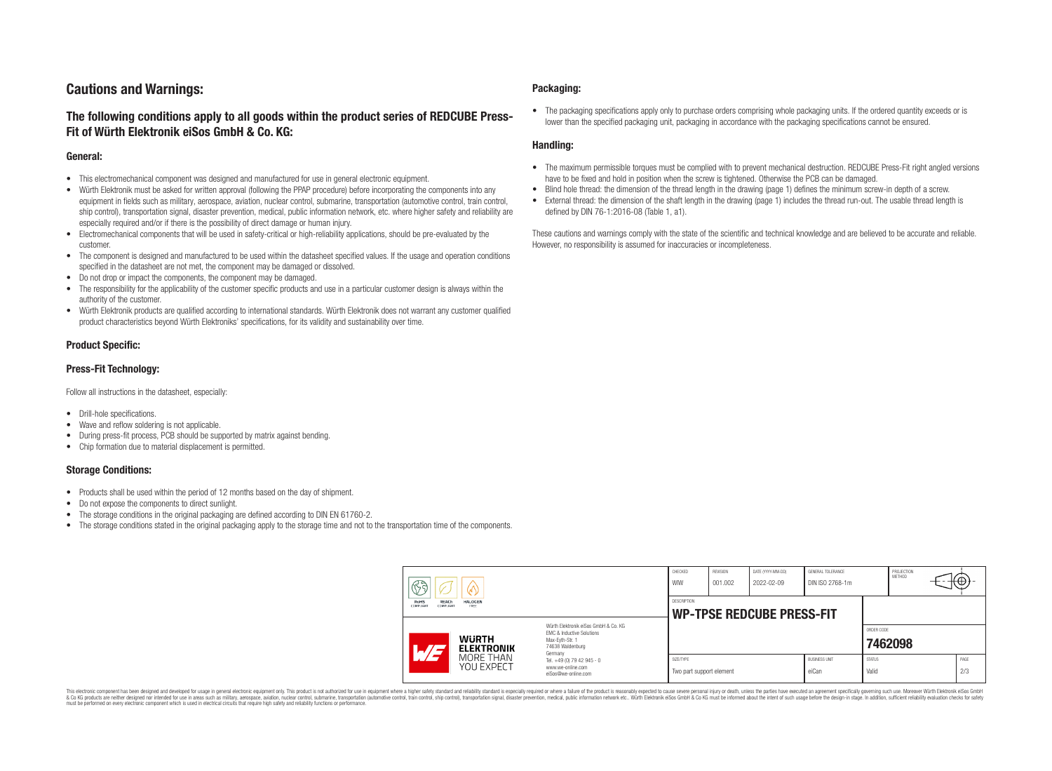# **Cautions and Warnings:**

# **The following conditions apply to all goods within the product series of REDCUBE Press-Fit of Würth Elektronik eiSos GmbH & Co. KG:**

### **General:**

- This electromechanical component was designed and manufactured for use in general electronic equipment.
- Würth Elektronik must be asked for written approval (following the PPAP procedure) before incorporating the components into any equipment in fields such as military, aerospace, aviation, nuclear control, submarine, transportation (automotive control, train control, ship control), transportation signal, disaster prevention, medical, public information network, etc. where higher safety and reliability are especially required and/or if there is the possibility of direct damage or human injury.
- Electromechanical components that will be used in safety-critical or high-reliability applications, should be pre-evaluated by the customer.
- The component is designed and manufactured to be used within the datasheet specified values. If the usage and operation conditions specified in the datasheet are not met, the component may be damaged or dissolved.
- Do not drop or impact the components, the component may be damaged.
- The responsibility for the applicability of the customer specific products and use in a particular customer design is always within the authority of the customer.
- Würth Elektronik products are qualified according to international standards. Würth Elektronik does not warrant any customer qualified product characteristics beyond Würth Elektroniks' specifications, for its validity and sustainability over time.

### **Product Specific:**

### **Press-Fit Technology:**

Follow all instructions in the datasheet, especially:

- Drill-hole specifications.
- Wave and reflow soldering is not applicable.
- During press-fit process, PCB should be supported by matrix against bending.
- Chip formation due to material displacement is permitted.

#### **Storage Conditions:**

- Products shall be used within the period of 12 months based on the day of shipment.
- Do not expose the components to direct sunlight.
- The storage conditions in the original packaging are defined according to DIN EN 61760-2.
- The storage conditions stated in the original packaging apply to the storage time and not to the transportation time of the components.

### **Packaging:**

• The packaging specifications apply only to purchase orders comprising whole packaging units. If the ordered quantity exceeds or is lower than the specified packaging unit, packaging in accordance with the packaging specifications cannot be ensured.

### **Handling:**

- The maximum permissible torques must be complied with to prevent mechanical destruction. REDCUBE Press-Fit right angled versions have to be fixed and hold in position when the screw is tightened. Otherwise the PCB can be damaged.
- Blind hole thread: the dimension of the thread length in the drawing (page 1) defines the minimum screw-in depth of a screw.
- External thread: the dimension of the shaft length in the drawing (page 1) includes the thread run-out. The usable thread length is defined by DIN 76-1:2016-08 (Table 1, a1).

These cautions and warnings comply with the state of the scientific and technical knowledge and are believed to be accurate and reliable. However, no responsibility is assumed for inaccuracies or incompleteness.

| $\circledS$                                                              |                                                                                                                     | CHECKED<br>WIW                        | <b>REVISION</b><br>001.002                             | DATE (YYYY-MM-DD)<br>2022-02-09 | GENERAL TOLERANCE<br>DIN ISO 2768-1m |                        | PROJECTION<br>METHOD  |  | ₩Ψ          |
|--------------------------------------------------------------------------|---------------------------------------------------------------------------------------------------------------------|---------------------------------------|--------------------------------------------------------|---------------------------------|--------------------------------------|------------------------|-----------------------|--|-------------|
| RoHS<br><b>REACh</b><br><b>HALOGEN</b><br>COMPLIANT<br>FREE<br>COMPLIANT |                                                                                                                     |                                       | <b>DESCRIPTION</b><br><b>WP-TPSE REDCUBE PRESS-FIT</b> |                                 |                                      |                        |                       |  |             |
| <b>WURTH</b><br>$\sqrt{H}$<br><b>ELEKTRONIK</b>                          | Würth Elektronik eiSos GmbH & Co. KG<br>EMC & Inductive Solutions<br>Max-Evth-Str. 1<br>74638 Waldenburg<br>Germany |                                       |                                                        |                                 |                                      |                        | ORDER CODE<br>7462098 |  |             |
| MORE THAN<br>YOU EXPECT                                                  | Tel. +49 (0) 79 42 945 - 0<br>www.we-online.com<br>eiSos@we-online.com                                              | SIZE/TYPE<br>Two part support element |                                                        |                                 | <b>BUSINESS UNIT</b><br>eiCan        | <b>STATUS</b><br>Valid |                       |  | PAGE<br>2/3 |

This electronic component has been designed and developed for usage in general electronic equipment only. This product is not authorized for use in equipment where a higher safety standard and reliability standard si espec & Ook product a label and the membed of the seasuch as marked and as which such a membed and the such assume that income in the seasuch and the simulation and the such assume that include to the such a membed and the such